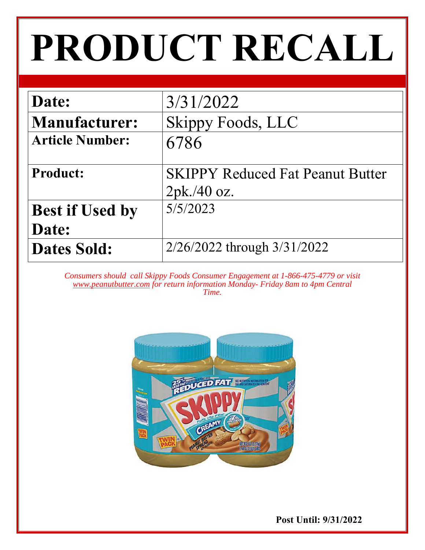# **PRODUCT RECALL**

| Date:                  | 3/31/2022                               |
|------------------------|-----------------------------------------|
| <b>Manufacturer:</b>   | Skippy Foods, LLC                       |
| <b>Article Number:</b> | 6786                                    |
| <b>Product:</b>        | <b>SKIPPY Reduced Fat Peanut Butter</b> |
|                        | 2pk.40 oz.                              |
| <b>Best if Used by</b> | 5/5/2023                                |
| Date:                  |                                         |
| <b>Dates Sold:</b>     | 2/26/2022 through 3/31/2022             |

*Consumers should call Skippy Foods Consumer Engagement at 1-866-475-4779 or visit www.peanutbutter.com for return information Monday- Friday 8am to 4pm Central Time.* 



 **Post Until: 9/31/2022**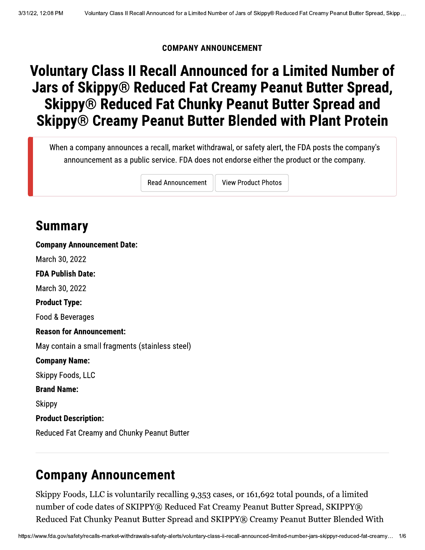#### **COMPANY ANNOUNCEMENT**

# **Voluntary Class II Recall Announced for a Limited Number of Jars of Skippy® Reduced Fat Creamy Peanut Butter Spread, Skippy® Reduced Fat Chunky Peanut Butter Spread and Skippy® Creamy Peanut Butter Blended with Plant Protein**

When a company announces a recall, market withdrawal, or safety alert, the FDA posts the company's announcement as a public service. FDA does not endorse either the product or the company.

**Read Announcement** 

**View Product Photos** 

### **Summary**

**Company Announcement Date:** March 30, 2022 **FDA Publish Date:** March 30, 2022 **Product Type:** Food & Beverages **Reason for Announcement:** May contain a small fragments (stainless steel) **Company Name: Skippy Foods, LLC Brand Name:** Skippy **Product Description:** Reduced Fat Creamy and Chunky Peanut Butter

#### **Company Announcement**

Skippy Foods, LLC is voluntarily recalling 9,353 cases, or 161,692 total pounds, of a limited number of code dates of SKIPPY® Reduced Fat Creamy Peanut Butter Spread, SKIPPY® Reduced Fat Chunky Peanut Butter Spread and SKIPPY® Creamy Peanut Butter Blended With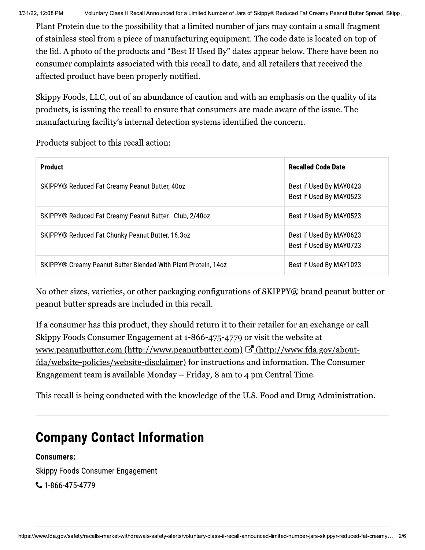M Voluntary Class II Recall Announced for a Limited Number of Jars of Skippy® Reduced Fat Creamy Pe<br>Protein due to the possibility that a limited number of jars may contain a sm<br>nless steel from a piece of manufacturing eq Plant Protein due to the possibility that a limited number of jars may contain a small fragment of stainless steel from a piece of manufacturing equipment. The code date is located on top of the lid. A photo of the products and "Best If Used By" dates appear below. There have been no consumer complaints associated with this recall to date, and all retailers that received the affected product have been properly notified.

Skippy Foods, LLC, out of an abundance of caution and with an emphasis on the quality of its products, is issuing the recall to ensure that consumers are made aware of the issue. The manufacturing facility's internal detection systems identified the concern.

Products subject to this recall action:

| <b>Product</b>                                                | <b>Recalled Code Date</b>                          |
|---------------------------------------------------------------|----------------------------------------------------|
| SKIPPY® Reduced Fat Creamy Peanut Butter, 40oz                | Best if Used By MAY0423<br>Best if Used By MAY0523 |
| SKIPPY® Reduced Fat Creamy Peanut Butter - Club, 2/40oz       | Best if Used By MAY0523                            |
| SKIPPY® Reduced Fat Chunky Peanut Butter, 16.3oz              | Best if Used By MAY0623<br>Best if Used By MAY0723 |
| SKIPPY® Creamy Peanut Butter Blended With Plant Protein, 14oz | Best if Used By MAY1023                            |

No other sizes, varieties, or other packaging configurations of SKIPPY® brand peanut butter or peanut butter spreads are included in this recall.

If a consumer has this product, they should return it to their retailer for an exchange or call Skippy Foods Consumer Engagement at 1-866-475-4779 or visit the website at  $\frac{Q}{Q}(\text{http://www.peanutbutter.com/http://www.peanutbutter.com/ }\mathcal{Q}(\text{http://www.fda.gov/about--}$ fda/website-policies/website-disclaimer) for instructions and information. The Consumer Engagement team is available Monday  $-$  Friday, 8 am to 4 pm Central Time.

This recall is being conducted with the knowledge of the U.S. Food and Drug Administration.

# **Company Contact Information**

#### Consumers:

Skippy Foods Consumer Engagement

₹1-866-475-4779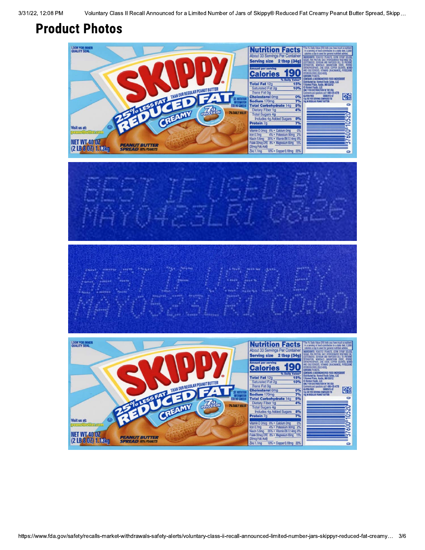## **Product Photos**

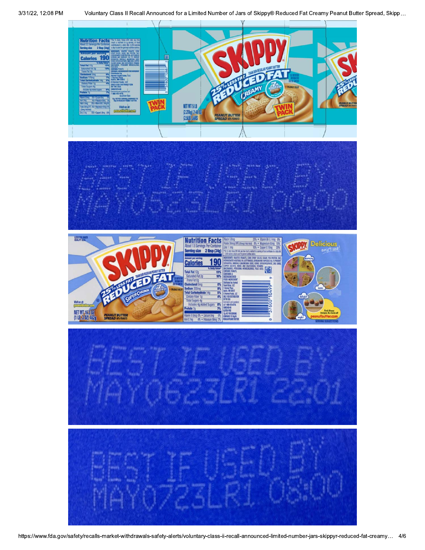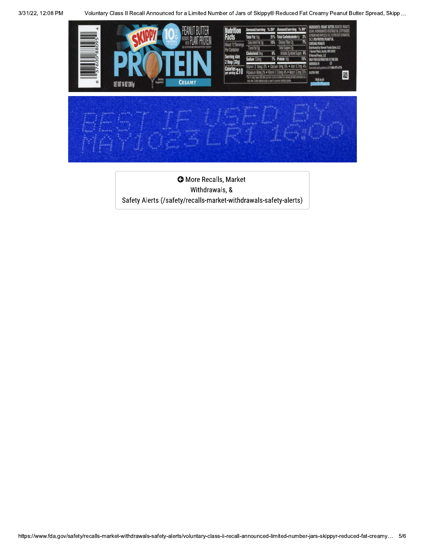Voluntary Class II Recall Announced for a Limited Number of Jars of Skippy® Reduced Fat Creamy Peanut Butter Spread, Skipp...